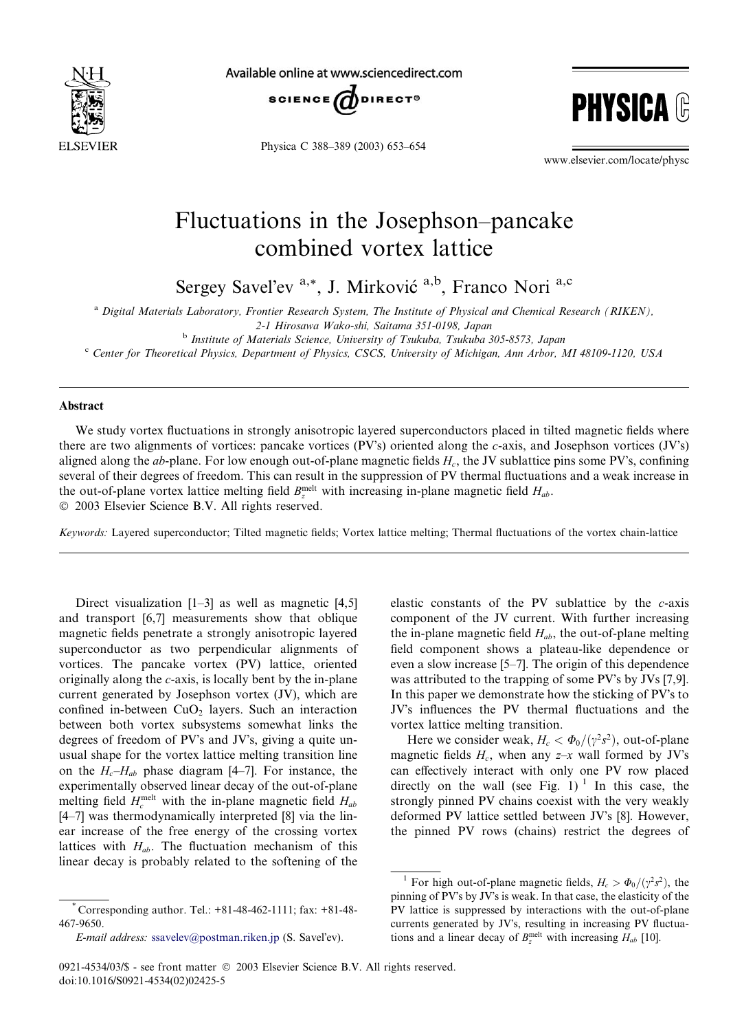

Available online at www.sciencedirect.com





Physica C 388–389 (2003) 653–654

www.elsevier.com/locate/physc

## Fluctuations in the Josephson–pancake combined vortex lattice

Sergey Savel'ev <sup>a,\*</sup>, J. Mirković <sup>a,b</sup>, Franco Nori<sup>a,c</sup>

a Digital Materials Laboratory, Frontier Research System, The Institute of Physical and Chemical Research (RIKEN),

<sup>b</sup> Institute of Materials Science, University of Tsukuba, Tsukuba 305-8573, Japan

<sup>c</sup> Center for Theoretical Physics, Department of Physics, CSCS, University of Michigan, Ann Arbor, MI 48109-1120, USA

## Abstract

We study vortex fluctuations in strongly anisotropic layered superconductors placed in tilted magnetic fields where there are two alignments of vortices: pancake vortices (PV's) oriented along the c-axis, and Josephson vortices (JV's) aligned along the ab-plane. For low enough out-of-plane magnetic fields  $H_c$ , the JV sublattice pins some PV's, confining several of their degrees of freedom. This can result in the suppression of PV thermal fluctuations and a weak increase in the out-of-plane vortex lattice melting field  $B_z^{\text{melt}}$  with increasing in-plane magnetic field  $H_{ab}$ . 2003 Elsevier Science B.V. All rights reserved.

Keywords: Layered superconductor; Tilted magnetic fields; Vortex lattice melting; Thermal fluctuations of the vortex chain-lattice

Direct visualization  $[1-3]$  as well as magnetic  $[4,5]$ and transport [6,7] measurements show that oblique magnetic fields penetrate a strongly anisotropic layered superconductor as two perpendicular alignments of vortices. The pancake vortex (PV) lattice, oriented originally along the c-axis, is locally bent by the in-plane current generated by Josephson vortex (JV), which are confined in-between  $CuO<sub>2</sub>$  layers. Such an interaction between both vortex subsystems somewhat links the degrees of freedom of PV's and JV's, giving a quite unusual shape for the vortex lattice melting transition line on the  $H_c-H_{ab}$  phase diagram [4–7]. For instance, the experimentally observed linear decay of the out-of-plane melting field  $H_c^{\text{melt}}$  with the in-plane magnetic field  $H_{ab}$ [4–7] was thermodynamically interpreted [8] via the linear increase of the free energy of the crossing vortex lattices with  $H_{ab}$ . The fluctuation mechanism of this linear decay is probably related to the softening of the

elastic constants of the PV sublattice by the  $c$ -axis component of the JV current. With further increasing the in-plane magnetic field  $H_{ab}$ , the out-of-plane melting field component shows a plateau-like dependence or even a slow increase [5–7]. The origin of this dependence was attributed to the trapping of some PV's by JVs [7,9]. In this paper we demonstrate how the sticking of PV's to JV's influences the PV thermal fluctuations and the vortex lattice melting transition.

Here we consider weak,  $H_c < \Phi_0/(\gamma^2 s^2)$ , out-of-plane magnetic fields  $H_c$ , when any  $z-x$  wall formed by JV's can effectively interact with only one PV row placed directly on the wall (see Fig. 1)<sup>1</sup> In this case, the strongly pinned PV chains coexist with the very weakly deformed PV lattice settled between JV's [8]. However, the pinned PV rows (chains) restrict the degrees of

<sup>2-1</sup> Hirosawa Wako-shi, Saitama 351-0198, Japan

<sup>\*</sup> Corresponding author. Tel.: +81-48-462-1111; fax: +81-48- 467-9650.

 $E$ -mail address: [ssavelev@postman.riken.jp](mail to: ssavelev@postman.riken.jp) (S. Savel'ev).

<sup>&</sup>lt;sup>1</sup> For high out-of-plane magnetic fields,  $H_c > \Phi_0/(\gamma^2 s^2)$ , the pinning of PV's by JV's is weak. In that case, the elasticity of the PV lattice is suppressed by interactions with the out-of-plane currents generated by JV's, resulting in increasing PV fluctuations and a linear decay of  $B_z^{\text{melt}}$  with increasing  $H_{ab}$  [10].